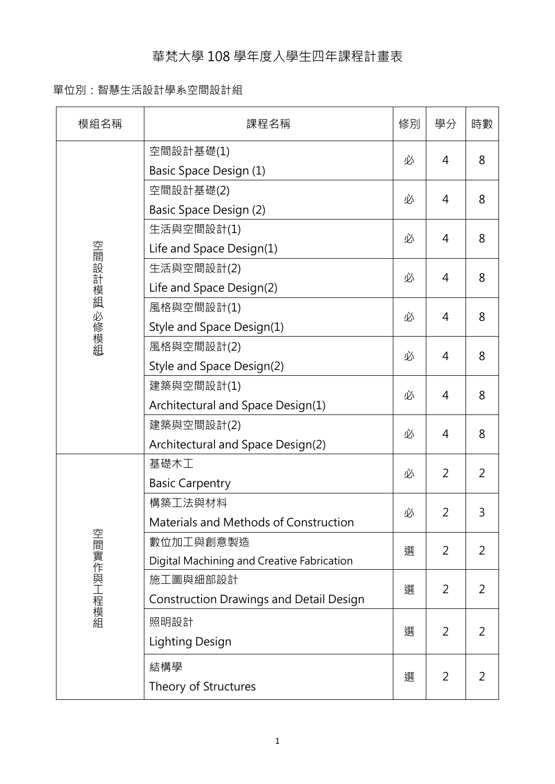## 華梵大學 108 學年度入學生四年課程計畫表

## 單位別:智慧生活設計學系空間設計組

| 模組名稱        | 課程名稱                                           | 修別 | 學分             | 時數             |
|-------------|------------------------------------------------|----|----------------|----------------|
|             | 空間設計基礎(1)                                      | 必  |                |                |
|             | Basic Space Design (1)                         |    | 4              | 8              |
|             | 空間設計基礎(2)                                      | 必  |                | 8              |
|             | Basic Space Design (2)                         |    | 4              |                |
|             | 生活與空間設計(1)                                     | 必  | 4              | 8              |
|             | Life and Space Design(1)                       |    |                |                |
| 空間設計模組 必修模組 | 生活與空間設計(2)                                     |    | 4              | 8              |
|             | Life and Space Design(2)                       | 必  |                |                |
|             | 風格與空間設計(1)                                     |    | 4              | 8              |
|             | Style and Space Design(1)                      | 必  |                |                |
|             | 風格與空間設計(2)                                     |    | 4              |                |
|             | Style and Space Design(2)                      | 必  |                | 8              |
|             | 建築與空間設計(1)                                     |    | 4              |                |
|             | Architectural and Space Design(1)              | 必  |                | 8              |
|             | 建築與空間設計(2)                                     | 必  | 4              |                |
|             | Architectural and Space Design(2)              |    |                | 8              |
|             | 基礎木工                                           | 必  | 2              | 2              |
|             | <b>Basic Carpentry</b>                         |    |                |                |
|             | 構築工法與材料                                        | 必  | 2              | 3              |
|             | Materials and Methods of Construction          |    |                |                |
|             | 數位加工與創意製造                                      | 選  | $\overline{2}$ | 2              |
| 空間實作與工程模組   | Digital Machining and Creative Fabrication     |    |                |                |
|             | 施工圖與細部設計                                       | 選  | 2              | 2              |
|             | <b>Construction Drawings and Detail Design</b> |    |                |                |
|             | 照明設計                                           | 選  |                |                |
|             | Lighting Design                                |    | $\overline{2}$ | $\overline{2}$ |
|             | 結構學                                            |    |                |                |
|             | Theory of Structures                           | 選  | $\overline{2}$ | $\overline{2}$ |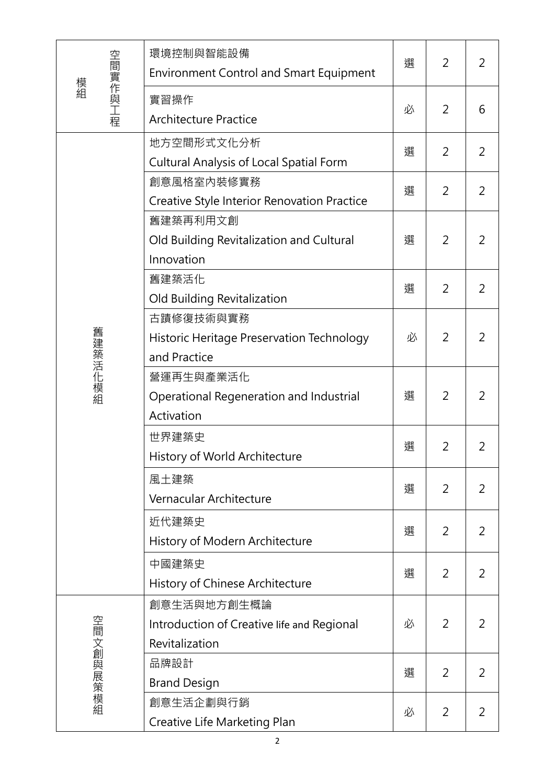|               | 環境控制與智能設備<br><b>Environment Control and Smart Equipment</b>                 | 選 | 2              | 2              |
|---------------|-----------------------------------------------------------------------------|---|----------------|----------------|
| 空間實作與工程<br>模組 | 實習操作<br><b>Architecture Practice</b>                                        | 必 | $\overline{2}$ | 6              |
| 舊建築活化模組       | 地方空間形式文化分析<br><b>Cultural Analysis of Local Spatial Form</b>                | 選 | $\overline{2}$ | $\overline{2}$ |
|               | 創意風格室內裝修實務<br>Creative Style Interior Renovation Practice                   | 選 | $\overline{2}$ | 2              |
|               | 舊建築再利用文創<br>Old Building Revitalization and Cultural<br>Innovation          | 選 | $\overline{2}$ | 2              |
|               | 舊建築活化<br>Old Building Revitalization                                        | 選 | 2              | 2              |
|               | 古蹟修復技術與實務<br>Historic Heritage Preservation Technology<br>and Practice      | 必 | $\overline{2}$ | 2              |
|               | 營運再生與產業活化<br>Operational Regeneration and Industrial<br>Activation          | 選 | $\overline{2}$ | 2              |
|               | 世界建築史<br>History of World Architecture                                      | 選 | $\overline{2}$ | 2              |
|               | 風土建築<br>Vernacular Architecture                                             | 選 | $\overline{2}$ | 2              |
|               | 近代建築史<br>History of Modern Architecture                                     | 選 | 2              | 2              |
|               | 中國建築史<br>History of Chinese Architecture                                    | 選 | 2              | 2              |
| 空間文創與展策模組     | 創意生活與地方創生概論<br>Introduction of Creative life and Regional<br>Revitalization | 必 | 2              | 2              |
|               | 品牌設計<br><b>Brand Design</b>                                                 | 選 | $\overline{2}$ | 2              |
|               | 創意生活企劃與行銷<br>Creative Life Marketing Plan                                   | 必 | $\overline{2}$ | 2              |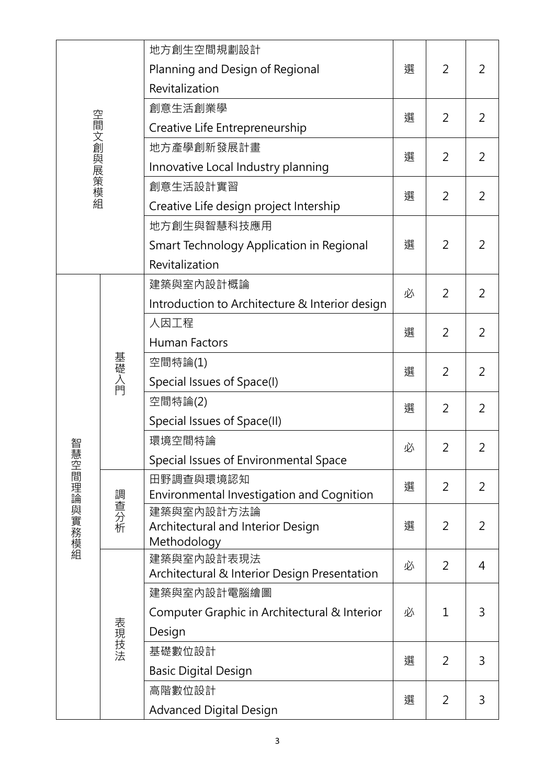| 空間文創與展策模組  |                                    | 地方創生空間規劃設計                                       |                |                |   |
|------------|------------------------------------|--------------------------------------------------|----------------|----------------|---|
|            | Planning and Design of Regional    | 選                                                | $\overline{2}$ | 2              |   |
|            | Revitalization                     |                                                  |                |                |   |
|            |                                    | 創意生活創業學                                          |                | 2              | 2 |
|            |                                    | Creative Life Entrepreneurship                   | 選              |                |   |
|            | 地方產學創新發展計畫                         | 選                                                | $\overline{2}$ |                |   |
|            | Innovative Local Industry planning |                                                  |                | 2              |   |
|            | 創意生活設計實習                           |                                                  | 2              |                |   |
|            |                                    | Creative Life design project Intership           | 選              |                | 2 |
|            |                                    | 地方創生與智慧科技應用                                      |                |                |   |
|            |                                    | Smart Technology Application in Regional         | 選              | $\overline{2}$ | 2 |
|            |                                    | Revitalization                                   |                |                |   |
|            |                                    | 建築與室內設計概論                                        |                |                |   |
|            |                                    | Introduction to Architecture & Interior design   | 必              | 2              | 2 |
|            |                                    | 人因工程                                             |                |                |   |
|            | 基礎入門                               | <b>Human Factors</b>                             | 選              | $\overline{2}$ | 2 |
|            |                                    | 空間特論(1)                                          |                | $\overline{2}$ | 2 |
|            |                                    | Special Issues of Space(I)                       | 選              |                |   |
|            |                                    | 空間特論(2)                                          | 選              | 2              | 2 |
|            |                                    | Special Issues of Space(II)                      |                |                |   |
| 沓彗         |                                    | 環境空間特論                                           | 必              | $\overline{2}$ | 2 |
|            |                                    | Special Issues of Environmental Space            |                |                |   |
|            | 調查分析                               | 田野調查與環境認知                                        | 選              | $\overline{2}$ | 2 |
|            |                                    | Environmental Investigation and Cognition        |                |                |   |
|            |                                    | 建築與室内設計方法論                                       |                | $\overline{2}$ | 2 |
| 震空間理論與實務模組 |                                    | Architectural and Interior Design<br>Methodology | 選              |                |   |
|            | 表現技法                               | 建築與室內設計表現法                                       |                |                |   |
|            |                                    | Architectural & Interior Design Presentation     | 必              | $\overline{2}$ | 4 |
|            |                                    | 建築與室內設計電腦繪圖                                      |                |                |   |
|            |                                    | Computer Graphic in Architectural & Interior     | 必              | $\mathbf{1}$   | 3 |
|            |                                    | Design                                           |                |                |   |
|            |                                    | 基礎數位設計                                           | 選              | $\overline{2}$ | 3 |
|            |                                    | <b>Basic Digital Design</b>                      |                |                |   |
|            |                                    | 高階數位設計                                           | 選              | $\overline{2}$ | 3 |
|            |                                    | <b>Advanced Digital Design</b>                   |                |                |   |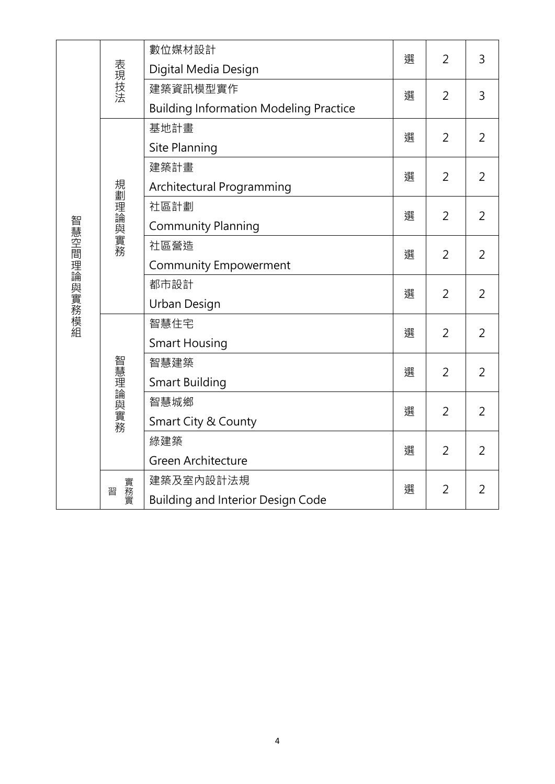|             | 表現技法     | 數位媒材設計                                        | 選 | $\overline{2}$ | 3              |
|-------------|----------|-----------------------------------------------|---|----------------|----------------|
|             |          | Digital Media Design                          |   |                |                |
|             |          | 建築資訊模型實作                                      | 選 | $\overline{2}$ | $\overline{3}$ |
|             |          | <b>Building Information Modeling Practice</b> |   |                |                |
|             | 規劃理論與實務  | 基地計畫                                          | 選 | $\overline{2}$ | $\overline{2}$ |
|             |          | Site Planning                                 |   |                |                |
|             |          | 建築計畫                                          | 選 | $\overline{2}$ | $\overline{2}$ |
|             |          | Architectural Programming                     |   |                |                |
|             |          | 社區計劃                                          | 選 | 2              | $\overline{2}$ |
|             |          | <b>Community Planning</b>                     |   |                |                |
|             |          | 社區營造                                          | 選 | $\overline{2}$ | $\overline{2}$ |
| 智慧空間理論與實務模組 |          | <b>Community Empowerment</b>                  |   |                |                |
|             |          | 都市設計                                          | 選 | $\overline{2}$ | $\overline{2}$ |
|             |          | Urban Design                                  |   |                |                |
|             | 智慧理論與實務  | 智慧住宅                                          | 選 | 2              | $\overline{2}$ |
|             |          | <b>Smart Housing</b>                          |   |                |                |
|             |          | 智慧建築                                          | 選 | 2              | $\overline{2}$ |
|             |          | <b>Smart Building</b>                         |   |                |                |
|             |          | 智慧城鄉                                          | 選 | $\overline{2}$ | $\overline{2}$ |
|             |          | Smart City & County                           |   |                |                |
|             |          | 綠建築                                           | 選 | 2              | $\overline{2}$ |
|             |          | Green Architecture                            |   |                |                |
|             | 實務實<br>習 | 建築及室内設計法規                                     | 選 | $\overline{2}$ | $\overline{2}$ |
|             |          | <b>Building and Interior Design Code</b>      |   |                |                |